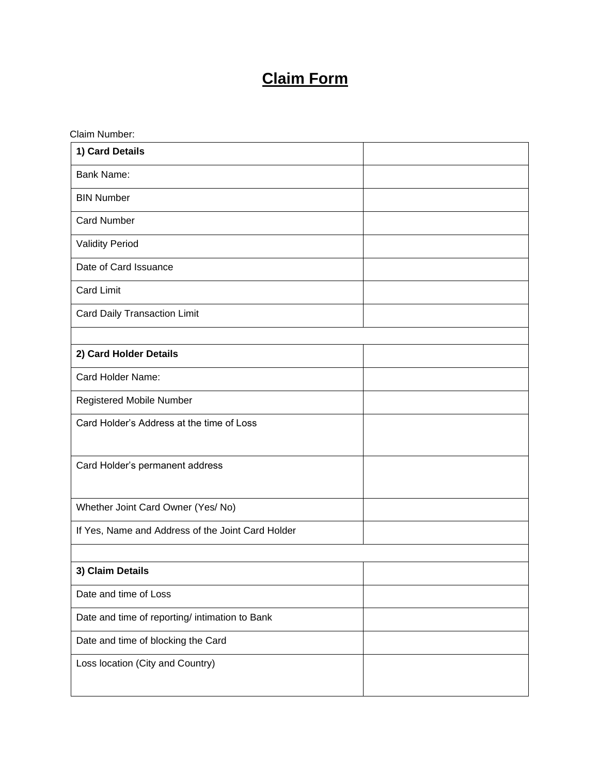## **Claim Form**

| Claim Number:                                     |  |
|---------------------------------------------------|--|
| 1) Card Details                                   |  |
| <b>Bank Name:</b>                                 |  |
| <b>BIN Number</b>                                 |  |
| <b>Card Number</b>                                |  |
| <b>Validity Period</b>                            |  |
| Date of Card Issuance                             |  |
| <b>Card Limit</b>                                 |  |
| <b>Card Daily Transaction Limit</b>               |  |
|                                                   |  |
| 2) Card Holder Details                            |  |
| Card Holder Name:                                 |  |
| <b>Registered Mobile Number</b>                   |  |
| Card Holder's Address at the time of Loss         |  |
| Card Holder's permanent address                   |  |
| Whether Joint Card Owner (Yes/No)                 |  |
| If Yes, Name and Address of the Joint Card Holder |  |
|                                                   |  |
| 3) Claim Details                                  |  |
| Date and time of Loss                             |  |
| Date and time of reporting/ intimation to Bank    |  |
| Date and time of blocking the Card                |  |
| Loss location (City and Country)                  |  |
|                                                   |  |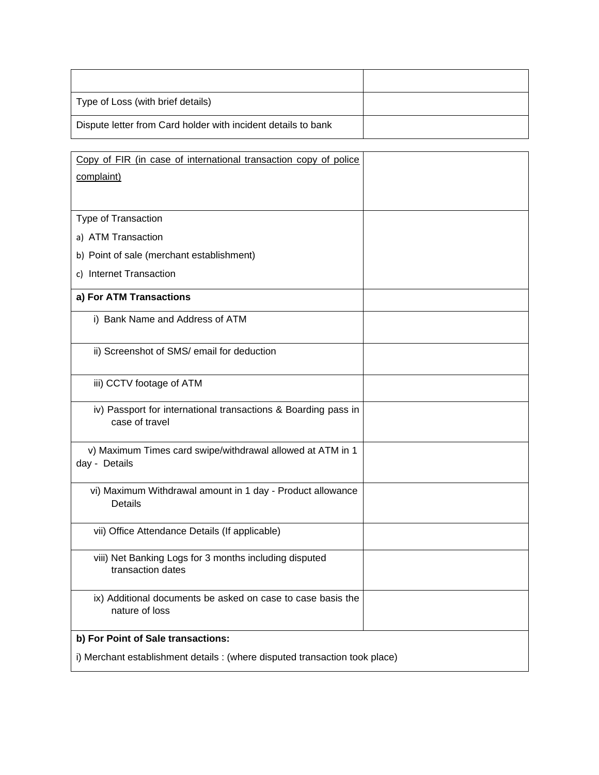| Type of Loss (with brief details)                             |  |
|---------------------------------------------------------------|--|
| Dispute letter from Card holder with incident details to bank |  |

| Copy of FIR (in case of international transaction copy of police                 |  |  |
|----------------------------------------------------------------------------------|--|--|
| complaint)                                                                       |  |  |
|                                                                                  |  |  |
| Type of Transaction                                                              |  |  |
| a) ATM Transaction                                                               |  |  |
| b) Point of sale (merchant establishment)                                        |  |  |
| c) Internet Transaction                                                          |  |  |
| a) For ATM Transactions                                                          |  |  |
| i) Bank Name and Address of ATM                                                  |  |  |
| ii) Screenshot of SMS/ email for deduction                                       |  |  |
| iii) CCTV footage of ATM                                                         |  |  |
| iv) Passport for international transactions & Boarding pass in<br>case of travel |  |  |
| v) Maximum Times card swipe/withdrawal allowed at ATM in 1<br>day - Details      |  |  |
| vi) Maximum Withdrawal amount in 1 day - Product allowance<br>Details            |  |  |
| vii) Office Attendance Details (If applicable)                                   |  |  |
| viii) Net Banking Logs for 3 months including disputed<br>transaction dates      |  |  |
| ix) Additional documents be asked on case to case basis the<br>nature of loss    |  |  |
| b) For Point of Sale transactions:                                               |  |  |
| i) Merchant establishment details : (where disputed transaction took place)      |  |  |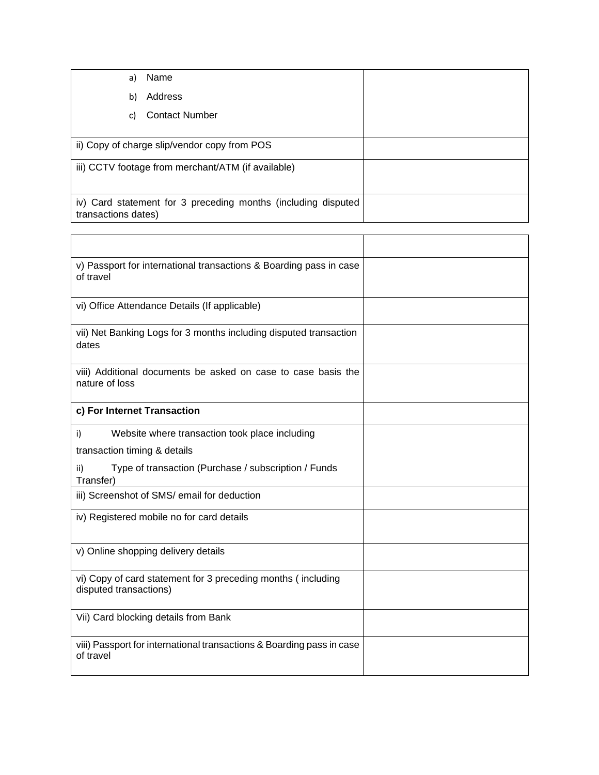| a)                  | Name                                                          |  |
|---------------------|---------------------------------------------------------------|--|
| b)                  | Address                                                       |  |
| C)                  | <b>Contact Number</b>                                         |  |
|                     | ii) Copy of charge slip/vendor copy from POS                  |  |
|                     | iii) CCTV footage from merchant/ATM (if available)            |  |
| transactions dates) | iv) Card statement for 3 preceding months (including disputed |  |

| v) Passport for international transactions & Boarding pass in case<br>of travel        |
|----------------------------------------------------------------------------------------|
| vi) Office Attendance Details (If applicable)                                          |
| vii) Net Banking Logs for 3 months including disputed transaction<br>dates             |
| viii) Additional documents be asked on case to case basis the<br>nature of loss        |
| c) For Internet Transaction                                                            |
| i)<br>Website where transaction took place including                                   |
| transaction timing & details                                                           |
| Type of transaction (Purchase / subscription / Funds<br>ii)<br>Transfer)               |
| iii) Screenshot of SMS/ email for deduction                                            |
| iv) Registered mobile no for card details                                              |
| v) Online shopping delivery details                                                    |
| vi) Copy of card statement for 3 preceding months (including<br>disputed transactions) |
| Vii) Card blocking details from Bank                                                   |
| viii) Passport for international transactions & Boarding pass in case<br>of travel     |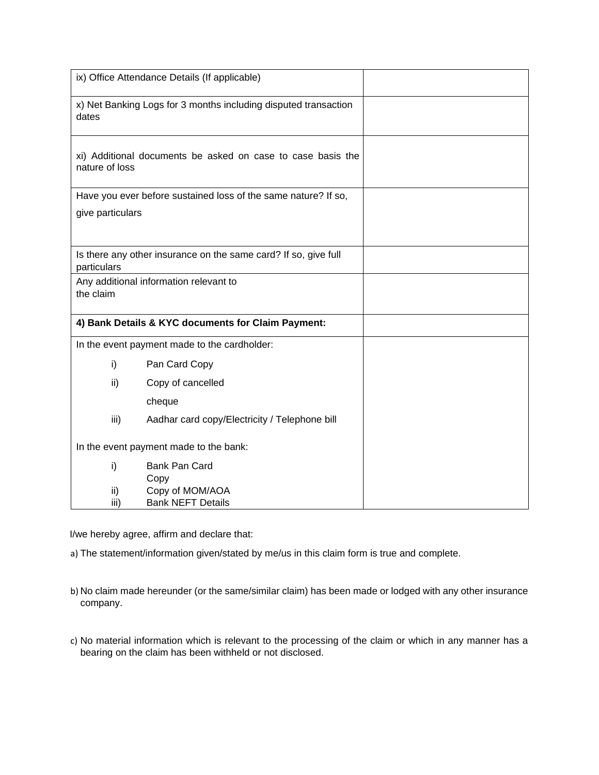|                  | ix) Office Attendance Details (If applicable)                   |  |
|------------------|-----------------------------------------------------------------|--|
| dates            | x) Net Banking Logs for 3 months including disputed transaction |  |
| nature of loss   | xi) Additional documents be asked on case to case basis the     |  |
|                  | Have you ever before sustained loss of the same nature? If so,  |  |
| give particulars |                                                                 |  |
|                  |                                                                 |  |
| particulars      | Is there any other insurance on the same card? If so, give full |  |
| the claim        | Any additional information relevant to                          |  |
|                  | 4) Bank Details & KYC documents for Claim Payment:              |  |
|                  | In the event payment made to the cardholder:                    |  |
| i)               | Pan Card Copy                                                   |  |
| ii)              | Copy of cancelled                                               |  |
|                  | cheque                                                          |  |
| iii)             | Aadhar card copy/Electricity / Telephone bill                   |  |
|                  | In the event payment made to the bank:                          |  |
| i)               | Bank Pan Card                                                   |  |
|                  | Copy                                                            |  |
| ii)<br>iii)      | Copy of MOM/AOA<br><b>Bank NEFT Details</b>                     |  |

I/we hereby agree, affirm and declare that:

a) The statement/information given/stated by me/us in this claim form is true and complete.

- b) No claim made hereunder (or the same/similar claim) has been made or lodged with any other insurance company.
- c) No material information which is relevant to the processing of the claim or which in any manner has a bearing on the claim has been withheld or not disclosed.